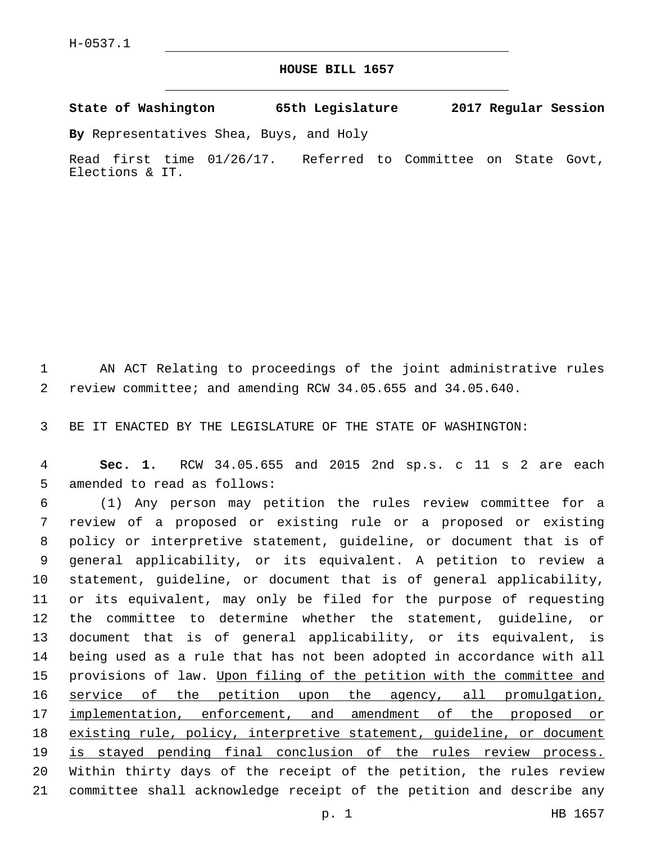## **HOUSE BILL 1657**

**State of Washington 65th Legislature 2017 Regular Session**

**By** Representatives Shea, Buys, and Holy

Read first time 01/26/17. Referred to Committee on State Govt, Elections & IT.

1 AN ACT Relating to proceedings of the joint administrative rules 2 review committee; and amending RCW 34.05.655 and 34.05.640.

3 BE IT ENACTED BY THE LEGISLATURE OF THE STATE OF WASHINGTON:

4 **Sec. 1.** RCW 34.05.655 and 2015 2nd sp.s. c 11 s 2 are each 5 amended to read as follows:

 (1) Any person may petition the rules review committee for a review of a proposed or existing rule or a proposed or existing policy or interpretive statement, guideline, or document that is of general applicability, or its equivalent. A petition to review a statement, guideline, or document that is of general applicability, or its equivalent, may only be filed for the purpose of requesting the committee to determine whether the statement, guideline, or document that is of general applicability, or its equivalent, is being used as a rule that has not been adopted in accordance with all 15 provisions of law. Upon filing of the petition with the committee and 16 service of the petition upon the agency, all promulgation, 17 implementation, enforcement, and amendment of the proposed or 18 existing rule, policy, interpretive statement, guideline, or document is stayed pending final conclusion of the rules review process. Within thirty days of the receipt of the petition, the rules review committee shall acknowledge receipt of the petition and describe any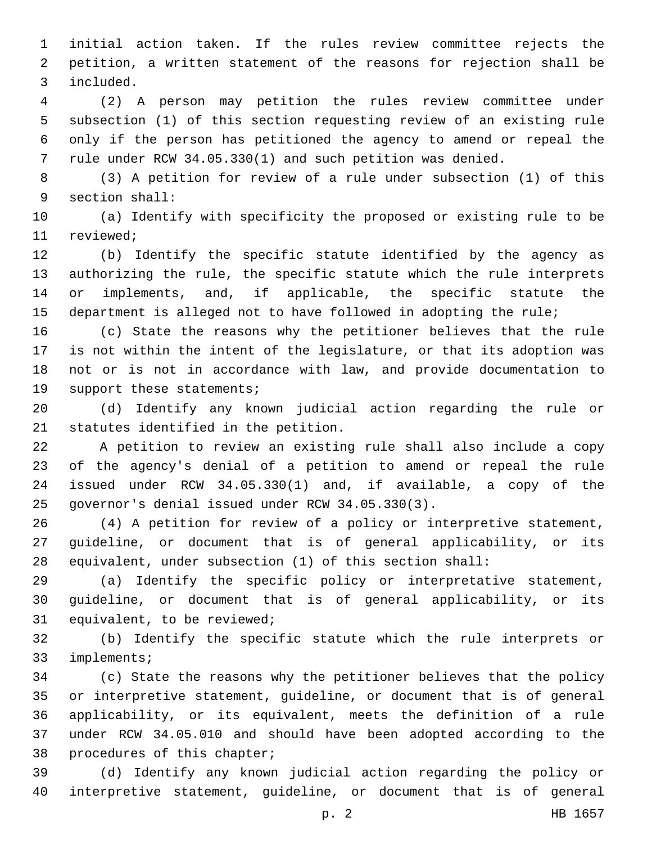initial action taken. If the rules review committee rejects the petition, a written statement of the reasons for rejection shall be included.3

 (2) A person may petition the rules review committee under subsection (1) of this section requesting review of an existing rule only if the person has petitioned the agency to amend or repeal the rule under RCW 34.05.330(1) and such petition was denied.

 (3) A petition for review of a rule under subsection (1) of this 9 section shall:

 (a) Identify with specificity the proposed or existing rule to be 11 reviewed;

 (b) Identify the specific statute identified by the agency as authorizing the rule, the specific statute which the rule interprets or implements, and, if applicable, the specific statute the department is alleged not to have followed in adopting the rule;

 (c) State the reasons why the petitioner believes that the rule is not within the intent of the legislature, or that its adoption was not or is not in accordance with law, and provide documentation to 19 support these statements;

 (d) Identify any known judicial action regarding the rule or 21 statutes identified in the petition.

 A petition to review an existing rule shall also include a copy of the agency's denial of a petition to amend or repeal the rule issued under RCW 34.05.330(1) and, if available, a copy of the 25 governor's denial issued under RCW 34.05.330(3).

 (4) A petition for review of a policy or interpretive statement, guideline, or document that is of general applicability, or its equivalent, under subsection (1) of this section shall:

 (a) Identify the specific policy or interpretative statement, guideline, or document that is of general applicability, or its 31 equivalent, to be reviewed;

 (b) Identify the specific statute which the rule interprets or 33 implements;

 (c) State the reasons why the petitioner believes that the policy or interpretive statement, guideline, or document that is of general applicability, or its equivalent, meets the definition of a rule under RCW 34.05.010 and should have been adopted according to the 38 procedures of this chapter;

 (d) Identify any known judicial action regarding the policy or interpretive statement, guideline, or document that is of general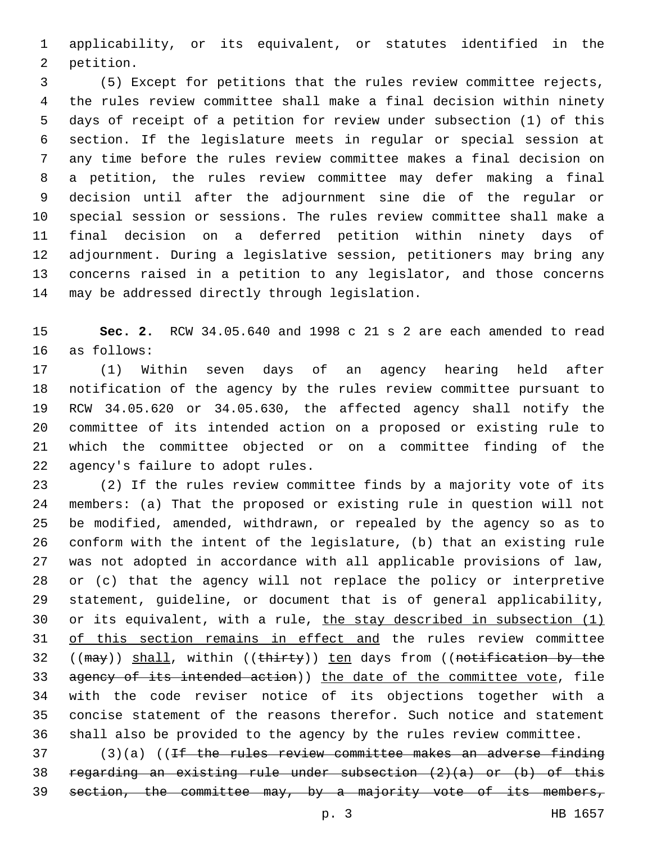applicability, or its equivalent, or statutes identified in the 2 petition.

 (5) Except for petitions that the rules review committee rejects, the rules review committee shall make a final decision within ninety days of receipt of a petition for review under subsection (1) of this section. If the legislature meets in regular or special session at any time before the rules review committee makes a final decision on a petition, the rules review committee may defer making a final decision until after the adjournment sine die of the regular or special session or sessions. The rules review committee shall make a final decision on a deferred petition within ninety days of adjournment. During a legislative session, petitioners may bring any concerns raised in a petition to any legislator, and those concerns 14 may be addressed directly through legislation.

 **Sec. 2.** RCW 34.05.640 and 1998 c 21 s 2 are each amended to read 16 as follows:

 (1) Within seven days of an agency hearing held after notification of the agency by the rules review committee pursuant to RCW 34.05.620 or 34.05.630, the affected agency shall notify the committee of its intended action on a proposed or existing rule to which the committee objected or on a committee finding of the 22 agency's failure to adopt rules.

 (2) If the rules review committee finds by a majority vote of its members: (a) That the proposed or existing rule in question will not be modified, amended, withdrawn, or repealed by the agency so as to conform with the intent of the legislature, (b) that an existing rule was not adopted in accordance with all applicable provisions of law, or (c) that the agency will not replace the policy or interpretive statement, guideline, or document that is of general applicability, 30 or its equivalent, with a rule, the stay described in subsection (1) 31 of this section remains in effect and the rules review committee 32 ((may)) shall, within ((thirty)) ten days from ((notification by the 33 agency of its intended action)) the date of the committee vote, file with the code reviser notice of its objections together with a concise statement of the reasons therefor. Such notice and statement shall also be provided to the agency by the rules review committee.

 (3)(a) ((<del>If the rules review committee makes an adverse finding</del> regarding an existing rule under subsection (2)(a) or (b) of this 39 section, the committee may, by a majority vote of its members,